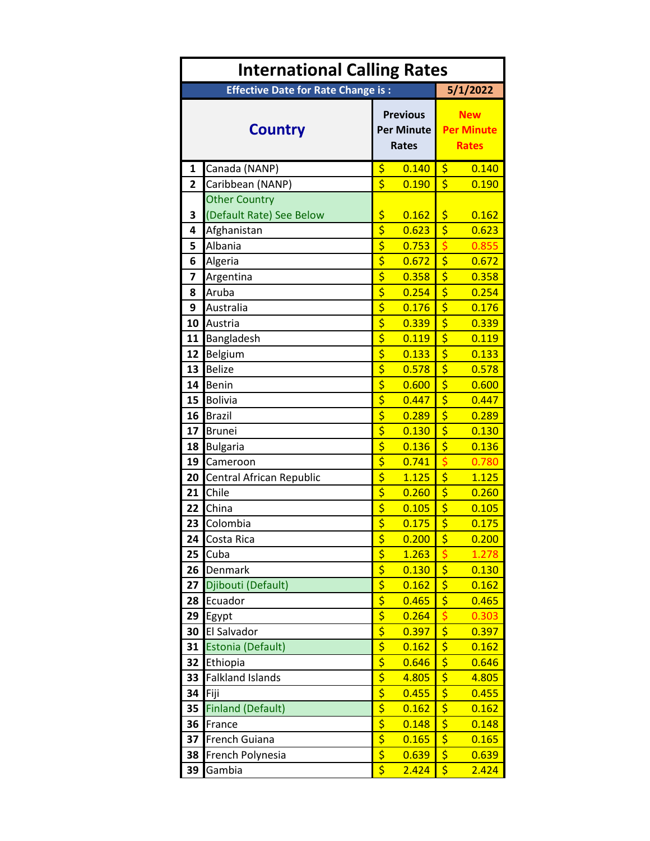| <b>International Calling Rates</b> |                                           |                                                      |                |                                                 |                |  |
|------------------------------------|-------------------------------------------|------------------------------------------------------|----------------|-------------------------------------------------|----------------|--|
|                                    | <b>Effective Date for Rate Change is:</b> |                                                      |                | 5/1/2022                                        |                |  |
| <b>Country</b>                     |                                           | <b>Previous</b><br><b>Per Minute</b><br><b>Rates</b> |                | <b>New</b><br><b>Per Minute</b><br><b>Rates</b> |                |  |
| $\mathbf{1}$                       | Canada (NANP)                             | \$                                                   | 0.140          | \$                                              | 0.140          |  |
| $\overline{2}$                     | Caribbean (NANP)                          | \$                                                   | 0.190          | \$                                              | 0.190          |  |
|                                    | <b>Other Country</b>                      |                                                      |                |                                                 |                |  |
| 3                                  | (Default Rate) See Below                  | \$                                                   | 0.162          | \$                                              | 0.162          |  |
| 4                                  | Afghanistan                               | \$                                                   | 0.623          | \$                                              | 0.623          |  |
| 5                                  | Albania                                   | \$                                                   | 0.753          | \$                                              | 0.855          |  |
| 6                                  | Algeria                                   | $\overline{\boldsymbol{\varsigma}}$                  | 0.672          | $\overline{\boldsymbol{\varsigma}}$             | 0.672          |  |
| 7                                  | Argentina                                 | $rac{1}{2}$                                          | 0.358          | \$                                              | 0.358          |  |
| 8                                  | Aruba                                     |                                                      | 0.254          | $\overline{\boldsymbol{\varsigma}}$             | 0.254          |  |
| 9                                  | Australia                                 | $\overline{\boldsymbol{\varsigma}}$                  | 0.176          | $\overline{\boldsymbol{\varsigma}}$             | 0.176          |  |
| 10                                 | Austria                                   | \$                                                   | 0.339          | \$                                              | 0.339          |  |
| 11                                 | Bangladesh                                | $\overline{\boldsymbol{\varsigma}}$                  | 0.119          | \$                                              | 0.119          |  |
| 12                                 | Belgium                                   | $\overline{\boldsymbol{\varsigma}}$                  | 0.133          | $\overline{\boldsymbol{\varsigma}}$             | 0.133          |  |
| 13                                 | <b>Belize</b>                             | \$                                                   | 0.578          | \$                                              | 0.578          |  |
| 14                                 | <b>Benin</b>                              | $\overline{\boldsymbol{\zeta}}$                      | 0.600          | $\overline{\boldsymbol{\zeta}}$                 | 0.600          |  |
| 15                                 | <b>Bolivia</b>                            | $\overline{\boldsymbol{\zeta}}$                      | 0.447          | $\overline{\boldsymbol{\varsigma}}$             | 0.447          |  |
| 16                                 | <b>Brazil</b>                             | $\overline{\boldsymbol{\varsigma}}$                  | 0.289          | \$                                              | 0.289          |  |
| 17                                 | <b>Brunei</b>                             | $\overline{\boldsymbol{\varsigma}}$                  | 0.130          | $\overline{\boldsymbol{\zeta}}$                 | 0.130          |  |
| 18                                 | <b>Bulgaria</b>                           | $\overline{\boldsymbol{\zeta}}$                      | 0.136          | $\overline{\boldsymbol{\varsigma}}$             | 0.136          |  |
| 19                                 | Cameroon                                  | \$                                                   | 0.741          | $\overline{\boldsymbol{\varsigma}}$             | 0.780          |  |
| 20                                 | Central African Republic                  | \$                                                   | 1.125          | \$                                              | 1.125          |  |
| 21                                 | Chile                                     | \$<br>$\overline{\boldsymbol{\varsigma}}$            | 0.260          | $\overline{\boldsymbol{\varsigma}}$             | 0.260          |  |
| 22                                 | China                                     | $\overline{\boldsymbol{\varsigma}}$                  | 0.105          | $\overline{\boldsymbol{\varsigma}}$<br>\$       | 0.105          |  |
| 23                                 | Colombia                                  |                                                      | 0.175          |                                                 | 0.175          |  |
|                                    | 24 Costa Rica<br>Cuba                     | \$<br>$\overline{\boldsymbol{\varsigma}}$            | 0.200<br>1.263 | \$<br>\$                                        | 0.200<br>1.278 |  |
| 25<br>26                           | Denmark                                   |                                                      | 0.130          | \$                                              |                |  |
| 27                                 | Djibouti (Default)                        | $rac{5}{5}$                                          | 0.162          | $\overline{\boldsymbol{\zeta}}$                 | 0.130<br>0.162 |  |
| 28                                 | Ecuador                                   | $\overline{\xi}$                                     | 0.465          | \$                                              | 0.465          |  |
| 29                                 | Egypt                                     |                                                      | 0.264          | \$                                              | 0.303          |  |
| 30                                 | El Salvador                               | $rac{1}{2}$                                          | 0.397          | \$                                              | 0.397          |  |
| 31                                 | Estonia (Default)                         | $\overline{\xi}$                                     | 0.162          | \$                                              | 0.162          |  |
| 32                                 | Ethiopia                                  |                                                      | 0.646          | \$                                              | 0.646          |  |
| 33                                 | <b>Falkland Islands</b>                   |                                                      | 4.805          | \$                                              | 4.805          |  |
| 34                                 | Fiji                                      | $rac{1}{2}$                                          | 0.455          | \$                                              | 0.455          |  |
| 35                                 | <b>Finland (Default)</b>                  | $\overline{\boldsymbol{\varsigma}}$                  | 0.162          | \$                                              | 0.162          |  |
| 36                                 | France                                    | $\overline{\boldsymbol{\varsigma}}$                  | 0.148          | \$                                              | 0.148          |  |
| 37                                 | French Guiana                             | $\overline{\boldsymbol{\zeta}}$                      | 0.165          | \$                                              | 0.165          |  |
| 38                                 | French Polynesia                          | \$                                                   | 0.639          | $\overline{\boldsymbol{\zeta}}$                 | 0.639          |  |
| 39                                 | Gambia                                    | $\overline{\boldsymbol{\varsigma}}$                  | 2.424          | \$                                              | 2.424          |  |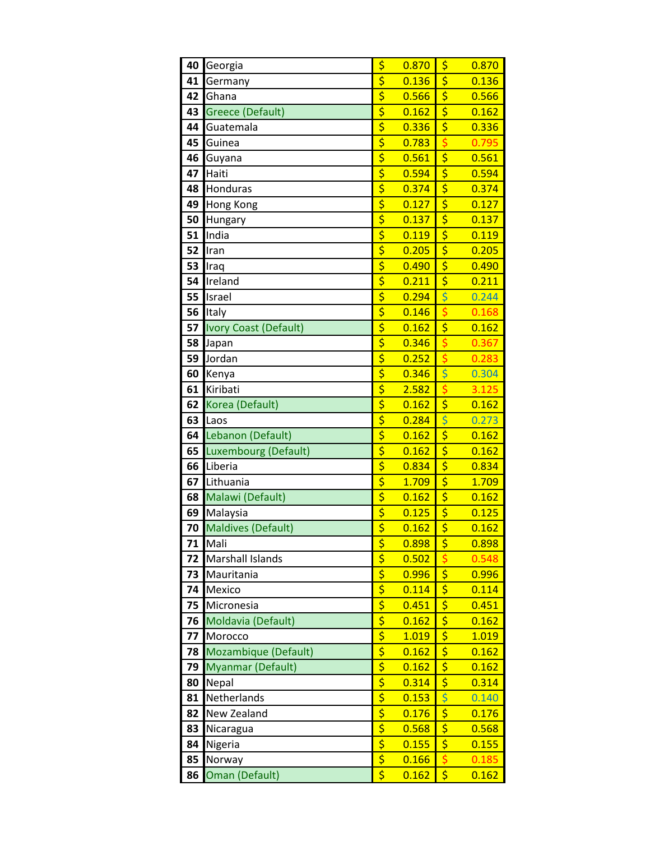| 40 | Georgia                      | \$                                                                     | 0.870 | \$                                  | 0.870 |
|----|------------------------------|------------------------------------------------------------------------|-------|-------------------------------------|-------|
| 41 | Germany                      | $\overline{\boldsymbol{\varsigma}}$                                    | 0.136 | \$                                  | 0.136 |
| 42 | Ghana                        | \$                                                                     | 0.566 | \$                                  | 0.566 |
| 43 | <b>Greece (Default)</b>      | $rac{5}{5}$                                                            | 0.162 | \$                                  | 0.162 |
| 44 | Guatemala                    |                                                                        | 0.336 | $\overline{\boldsymbol{\varsigma}}$ | 0.336 |
| 45 | Guinea                       | $rac{1}{5}$                                                            | 0.783 | \$                                  | 0.795 |
| 46 | Guyana                       |                                                                        | 0.561 | $\overline{\boldsymbol{\varsigma}}$ | 0.561 |
| 47 | Haiti                        | $\frac{1}{5}$                                                          | 0.594 | $\overline{\boldsymbol{\varsigma}}$ | 0.594 |
| 48 | Honduras                     | $\overline{\boldsymbol{\varsigma}}$                                    | 0.374 | $\overline{\boldsymbol{\zeta}}$     | 0.374 |
| 49 | Hong Kong                    | $\overline{\xi}$                                                       | 0.127 | $\overline{\boldsymbol{\varsigma}}$ | 0.127 |
| 50 | Hungary                      | $\overline{\boldsymbol{\zeta}}$                                        | 0.137 | \$                                  | 0.137 |
| 51 | India                        | $\overline{\boldsymbol{\varsigma}}$                                    | 0.119 | $\overline{\boldsymbol{\varsigma}}$ | 0.119 |
| 52 | Iran                         | $rac{1}{5}$                                                            | 0.205 | $\overline{\boldsymbol{\varsigma}}$ | 0.205 |
| 53 | Iraq                         |                                                                        | 0.490 | \$                                  | 0.490 |
| 54 | Ireland                      | $\overline{\boldsymbol{\zeta}}$                                        | 0.211 | $\overline{\boldsymbol{\varsigma}}$ | 0.211 |
| 55 | Israel                       | $rac{5}{5}$                                                            | 0.294 | \$                                  | 0.244 |
| 56 | Italy                        |                                                                        | 0.146 | \$                                  | 0.168 |
| 57 | <b>Ivory Coast (Default)</b> | $\overline{\boldsymbol{\varsigma}}$                                    | 0.162 | $\overline{\boldsymbol{\varsigma}}$ | 0.162 |
| 58 | Japan                        | $rac{1}{5}$                                                            | 0.346 | \$                                  | 0.367 |
| 59 | Jordan                       |                                                                        | 0.252 | \$                                  | 0.283 |
| 60 | Kenya                        | $\overline{\boldsymbol{\varsigma}}$                                    | 0.346 | \$                                  | 0.304 |
| 61 | Kiribati                     | \$                                                                     | 2.582 | \$                                  | 3.125 |
| 62 | Korea (Default)              | $\overline{\boldsymbol{\xi}}$                                          | 0.162 | \$                                  | 0.162 |
| 63 | Laos                         | $\overline{\boldsymbol{\varsigma}}$                                    | 0.284 | $\overline{\varsigma}$              | 0.273 |
| 64 | Lebanon (Default)            | \$                                                                     | 0.162 | \$                                  | 0.162 |
| 65 | Luxembourg (Default)         | $\overline{\xi}$                                                       | 0.162 | $\overline{\boldsymbol{\varsigma}}$ | 0.162 |
| 66 | Liberia                      | $\overline{\xi}$                                                       | 0.834 | \$                                  | 0.834 |
| 67 | Lithuania                    | $\overline{\boldsymbol{\zeta}}$                                        | 1.709 | \$                                  | 1.709 |
| 68 | Malawi (Default)             | $\overline{\boldsymbol{\zeta}}$                                        | 0.162 | $\overline{\boldsymbol{\varsigma}}$ | 0.162 |
| 69 | Malaysia                     | $\overline{\xi}$                                                       | 0.125 | $\overline{\boldsymbol{\varsigma}}$ | 0.125 |
| 70 | <b>Maldives (Default)</b>    | $\overline{\boldsymbol{\varsigma}}$                                    | 0.162 | \$                                  | 0.162 |
| 71 | Mali                         | \$                                                                     | 0.898 | \$                                  | 0.898 |
| 72 | Marshall Islands             | $\overline{\xi}$                                                       | 0.502 | \$                                  | 0.548 |
| 73 | Mauritania                   |                                                                        | 0.996 | $\overline{\boldsymbol{\zeta}}$     | 0.996 |
| 74 | Mexico                       | $rac{5}{5}$                                                            | 0.114 | \$                                  | 0.114 |
| 75 | Micronesia                   |                                                                        | 0.451 | $\overline{\boldsymbol{\varsigma}}$ | 0.451 |
| 76 | Moldavia (Default)           | $\overline{\boldsymbol{\zeta}}$                                        | 0.162 | \$                                  | 0.162 |
| 77 | Morocco                      | \$                                                                     | 1.019 | $\overline{\boldsymbol{\zeta}}$     | 1.019 |
| 78 | Mozambique (Default)         | $\overline{\boldsymbol{\zeta}}$                                        | 0.162 | \$                                  | 0.162 |
| 79 | Myanmar (Default)            | $\overline{\boldsymbol{\zeta}}$                                        | 0.162 | \$                                  | 0.162 |
| 80 | Nepal                        | \$                                                                     | 0.314 | $\overline{\boldsymbol{\zeta}}$     | 0.314 |
| 81 | Netherlands                  | $\overline{\boldsymbol{\zeta}}$<br>$\overline{\boldsymbol{\varsigma}}$ | 0.153 | \$                                  | 0.140 |
| 82 | New Zealand                  |                                                                        | 0.176 | \$                                  | 0.176 |
| 83 | Nicaragua                    | \$<br>\$                                                               | 0.568 | \$                                  | 0.568 |
| 84 | Nigeria                      | $\overline{\boldsymbol{\varsigma}}$                                    | 0.155 | $\overline{\boldsymbol{\zeta}}$     | 0.155 |
| 85 | Norway                       |                                                                        | 0.166 |                                     | 0.185 |
| 86 | Oman (Default)               | \$                                                                     | 0.162 | \$                                  | 0.162 |